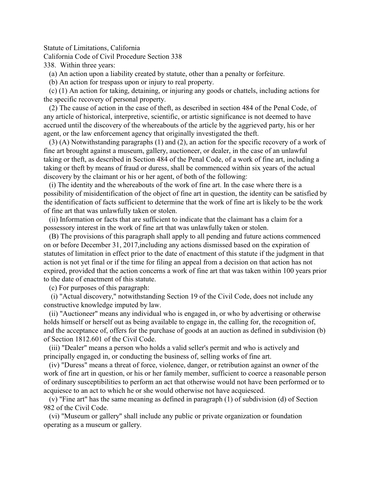Statute of Limitations, California

California Code of Civil Procedure Section 338

338. Within three years:

(a) An action upon a liability created by statute, other than a penalty or forfeiture.

(b) An action for trespass upon or injury to real property.

 (c) (1) An action for taking, detaining, or injuring any goods or chattels, including actions for the specific recovery of personal property.

 (2) The cause of action in the case of theft, as described in section 484 of the Penal Code, of any article of historical, interpretive, scientific, or artistic significance is not deemed to have accrued until the discovery of the whereabouts of the article by the aggrieved party, his or her agent, or the law enforcement agency that originally investigated the theft.

 (3) (A) Notwithstanding paragraphs (1) and (2), an action for the specific recovery of a work of fine art brought against a museum, gallery, auctioneer, or dealer, in the case of an unlawful taking or theft, as described in Section 484 of the Penal Code, of a work of fine art, including a taking or theft by means of fraud or duress, shall be commenced within six years of the actual discovery by the claimant or his or her agent, of both of the following:

 (i) The identity and the whereabouts of the work of fine art. In the case where there is a possibility of misidentification of the object of fine art in question, the identity can be satisfied by the identification of facts sufficient to determine that the work of fine art is likely to be the work of fine art that was unlawfully taken or stolen.

 (ii) Information or facts that are sufficient to indicate that the claimant has a claim for a possessory interest in the work of fine art that was unlawfully taken or stolen.

 (B) The provisions of this paragraph shall apply to all pending and future actions commenced on or before December 31, 2017,including any actions dismissed based on the expiration of statutes of limitation in effect prior to the date of enactment of this statute if the judgment in that action is not yet final or if the time for filing an appeal from a decision on that action has not expired, provided that the action concerns a work of fine art that was taken within 100 years prior to the date of enactment of this statute.

(c) For purposes of this paragraph:

 (i) "Actual discovery," notwithstanding Section 19 of the Civil Code, does not include any constructive knowledge imputed by law.

 (ii) "Auctioneer" means any individual who is engaged in, or who by advertising or otherwise holds himself or herself out as being available to engage in, the calling for, the recognition of, and the acceptance of, offers for the purchase of goods at an auction as defined in subdivision (b) of Section 1812.601 of the Civil Code.

 (iii) "Dealer" means a person who holds a valid seller's permit and who is actively and principally engaged in, or conducting the business of, selling works of fine art.

 (iv) "Duress" means a threat of force, violence, danger, or retribution against an owner of the work of fine art in question, or his or her family member, sufficient to coerce a reasonable person of ordinary susceptibilities to perform an act that otherwise would not have been performed or to acquiesce to an act to which he or she would otherwise not have acquiesced.

 (v) "Fine art" has the same meaning as defined in paragraph (1) of subdivision (d) of Section 982 of the Civil Code.

 (vi) "Museum or gallery" shall include any public or private organization or foundation operating as a museum or gallery.